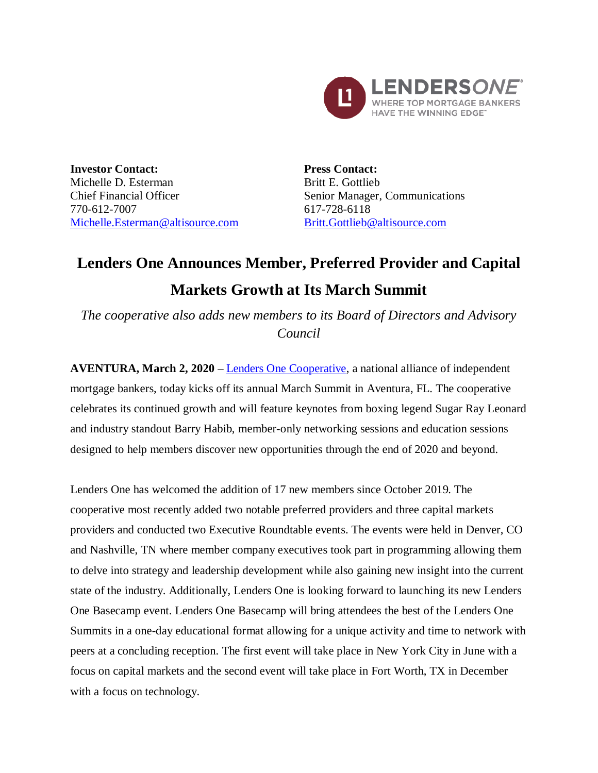

**Investor Contact:** Michelle D. Esterman Chief Financial Officer 770-612-7007 Michelle.Esterman@altisource.com **Press Contact:** Britt E. Gottlieb Senior Manager, Communications 617-728-6118 Britt.Gottlieb@altisource.com

# **Lenders One Announces Member, Preferred Provider and Capital Markets Growth at Its March Summit**

*The cooperative also adds new members to its Board of Directors and Advisory Council*

**AVENTURA, March 2, 2020** – Lenders One Cooperative, a national alliance of independent mortgage bankers, today kicks off its annual March Summit in Aventura, FL. The cooperative celebrates its continued growth and will feature keynotes from boxing legend Sugar Ray Leonard and industry standout Barry Habib, member-only networking sessions and education sessions designed to help members discover new opportunities through the end of 2020 and beyond.

Lenders One has welcomed the addition of 17 new members since October 2019. The cooperative most recently added two notable preferred providers and three capital markets providers and conducted two Executive Roundtable events. The events were held in Denver, CO and Nashville, TN where member company executives took part in programming allowing them to delve into strategy and leadership development while also gaining new insight into the current state of the industry. Additionally, Lenders One is looking forward to launching its new Lenders One Basecamp event. Lenders One Basecamp will bring attendees the best of the Lenders One Summits in a one-day educational format allowing for a unique activity and time to network with peers at a concluding reception. The first event will take place in New York City in June with a focus on capital markets and the second event will take place in Fort Worth, TX in December with a focus on technology.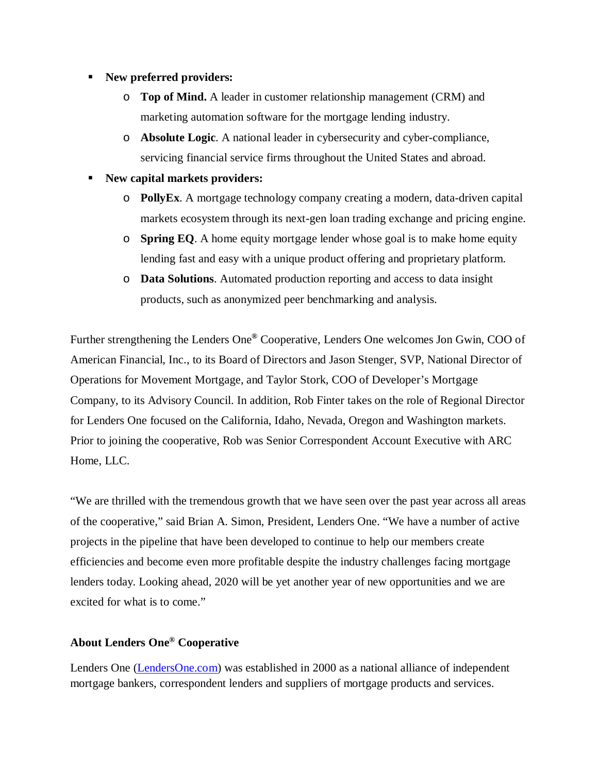#### § **New preferred providers:**

- o **Top of Mind.** A leader in customer relationship management (CRM) and marketing automation software for the mortgage lending industry.
- o **Absolute Logic**. A national leader in cybersecurity and cyber-compliance, servicing financial service firms throughout the United States and abroad.

#### § **New capital markets providers:**

- o **PollyEx**. A mortgage technology company creating a modern, data-driven capital markets ecosystem through its next-gen loan trading exchange and pricing engine.
- o **Spring EQ**. A home equity mortgage lender whose goal is to make home equity lending fast and easy with a unique product offering and proprietary platform.
- o **Data Solutions**. Automated production reporting and access to data insight products, such as anonymized peer benchmarking and analysis.

Further strengthening the Lenders One**®** Cooperative, Lenders One welcomes Jon Gwin, COO of American Financial, Inc., to its Board of Directors and Jason Stenger, SVP, National Director of Operations for Movement Mortgage, and Taylor Stork, COO of Developer's Mortgage Company, to its Advisory Council. In addition, Rob Finter takes on the role of Regional Director for Lenders One focused on the California, Idaho, Nevada, Oregon and Washington markets. Prior to joining the cooperative, Rob was Senior Correspondent Account Executive with ARC Home, LLC.

"We are thrilled with the tremendous growth that we have seen over the past year across all areas of the cooperative," said Brian A. Simon, President, Lenders One. "We have a number of active projects in the pipeline that have been developed to continue to help our members create efficiencies and become even more profitable despite the industry challenges facing mortgage lenders today. Looking ahead, 2020 will be yet another year of new opportunities and we are excited for what is to come."

### **About Lenders One® Cooperative**

Lenders One (LendersOne.com) was established in 2000 as a national alliance of independent mortgage bankers, correspondent lenders and suppliers of mortgage products and services.